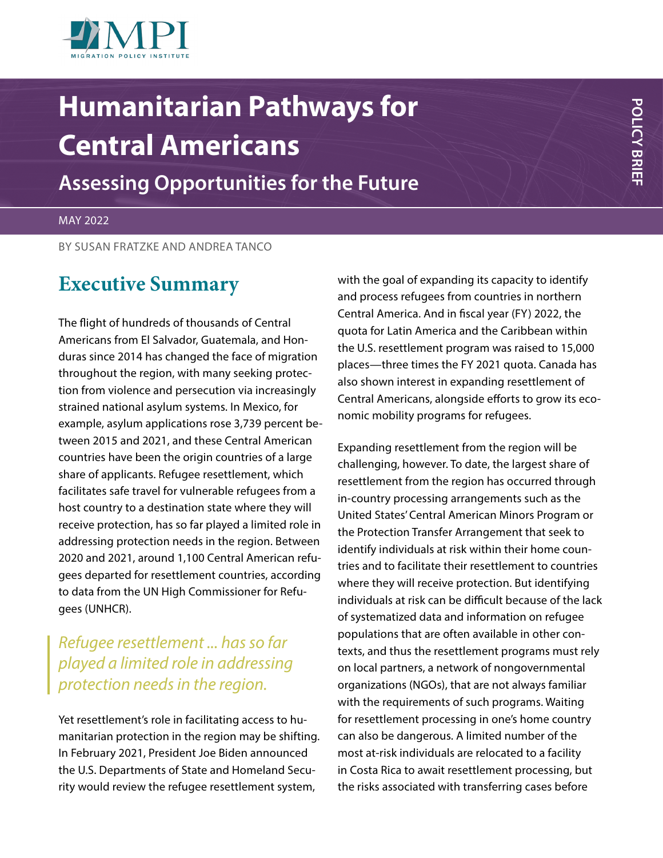

# **Humanitarian Pathways for Central Americans**

**Assessing Opportunities for the Future**

#### MAY 2022

BY SUSAN FRATZKE AND ANDREA TANCO

## **Executive Summary**

The flight of hundreds of thousands of Central Americans from El Salvador, Guatemala, and Honduras since 2014 has changed the face of migration throughout the region, with many seeking protection from violence and persecution via increasingly strained national asylum systems. In Mexico, for example, asylum applications rose 3,739 percent between 2015 and 2021, and these Central American countries have been the origin countries of a large share of applicants. Refugee resettlement, which facilitates safe travel for vulnerable refugees from a host country to a destination state where they will receive protection, has so far played a limited role in addressing protection needs in the region. Between 2020 and 2021, around 1,100 Central American refugees departed for resettlement countries, according to data from the UN High Commissioner for Refugees (UNHCR).

### *Refugee resettlement ... has so far played a limited role in addressing protection needs in the region.*

Yet resettlement's role in facilitating access to humanitarian protection in the region may be shifting. In February 2021, President Joe Biden announced the U.S. Departments of State and Homeland Security would review the refugee resettlement system,

with the goal of expanding its capacity to identify and process refugees from countries in northern Central America. And in fiscal year (FY) 2022, the quota for Latin America and the Caribbean within the U.S. resettlement program was raised to 15,000 places—three times the FY 2021 quota. Canada has also shown interest in expanding resettlement of Central Americans, alongside efforts to grow its economic mobility programs for refugees.

Expanding resettlement from the region will be challenging, however. To date, the largest share of resettlement from the region has occurred through in-country processing arrangements such as the United States' Central American Minors Program or the Protection Transfer Arrangement that seek to identify individuals at risk within their home countries and to facilitate their resettlement to countries where they will receive protection. But identifying individuals at risk can be difficult because of the lack of systematized data and information on refugee populations that are often available in other contexts, and thus the resettlement programs must rely on local partners, a network of nongovernmental organizations (NGOs), that are not always familiar with the requirements of such programs. Waiting for resettlement processing in one's home country can also be dangerous. A limited number of the most at-risk individuals are relocated to a facility in Costa Rica to await resettlement processing, but the risks associated with transferring cases before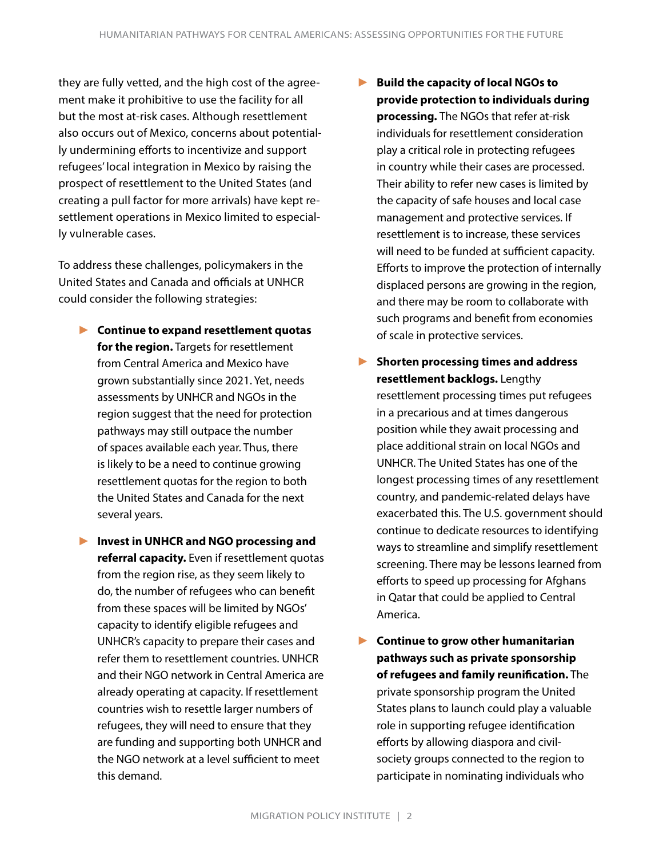they are fully vetted, and the high cost of the agreement make it prohibitive to use the facility for all but the most at-risk cases. Although resettlement also occurs out of Mexico, concerns about potentially undermining efforts to incentivize and support refugees' local integration in Mexico by raising the prospect of resettlement to the United States (and creating a pull factor for more arrivals) have kept resettlement operations in Mexico limited to especially vulnerable cases.

To address these challenges, policymakers in the United States and Canada and officials at UNHCR could consider the following strategies:

- ► **Continue to expand resettlement quotas for the region.** Targets for resettlement from Central America and Mexico have grown substantially since 2021. Yet, needs assessments by UNHCR and NGOs in the region suggest that the need for protection pathways may still outpace the number of spaces available each year. Thus, there is likely to be a need to continue growing resettlement quotas for the region to both the United States and Canada for the next several years.
- ► **Invest in UNHCR and NGO processing and referral capacity.** Even if resettlement quotas from the region rise, as they seem likely to do, the number of refugees who can benefit from these spaces will be limited by NGOs' capacity to identify eligible refugees and UNHCR's capacity to prepare their cases and refer them to resettlement countries. UNHCR and their NGO network in Central America are already operating at capacity. If resettlement countries wish to resettle larger numbers of refugees, they will need to ensure that they are funding and supporting both UNHCR and the NGO network at a level sufficient to meet this demand.
- ► **Build the capacity of local NGOs to provide protection to individuals during processing.** The NGOs that refer at-risk individuals for resettlement consideration play a critical role in protecting refugees in country while their cases are processed. Their ability to refer new cases is limited by the capacity of safe houses and local case management and protective services. If resettlement is to increase, these services will need to be funded at sufficient capacity. Efforts to improve the protection of internally displaced persons are growing in the region, and there may be room to collaborate with such programs and benefit from economies of scale in protective services.
- ► **Shorten processing times and address resettlement backlogs.** Lengthy resettlement processing times put refugees in a precarious and at times dangerous position while they await processing and place additional strain on local NGOs and UNHCR. The United States has one of the longest processing times of any resettlement country, and pandemic-related delays have exacerbated this. The U.S. government should continue to dedicate resources to identifying ways to streamline and simplify resettlement screening. There may be lessons learned from efforts to speed up processing for Afghans in Qatar that could be applied to Central America.
- ► **Continue to grow other humanitarian pathways such as private sponsorship of refugees and family reunification.** The private sponsorship program the United States plans to launch could play a valuable role in supporting refugee identification efforts by allowing diaspora and civilsociety groups connected to the region to participate in nominating individuals who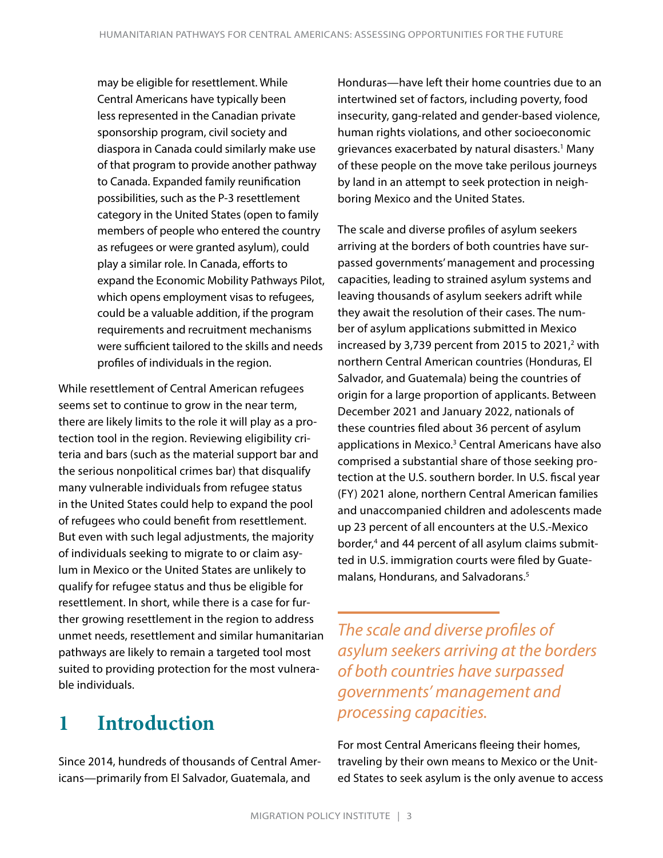may be eligible for resettlement. While Central Americans have typically been less represented in the Canadian private sponsorship program, civil society and diaspora in Canada could similarly make use of that program to provide another pathway to Canada. Expanded family reunification possibilities, such as the P-3 resettlement category in the United States (open to family members of people who entered the country as refugees or were granted asylum), could play a similar role. In Canada, efforts to expand the Economic Mobility Pathways Pilot, which opens employment visas to refugees, could be a valuable addition, if the program requirements and recruitment mechanisms were sufficient tailored to the skills and needs profiles of individuals in the region.

While resettlement of Central American refugees seems set to continue to grow in the near term, there are likely limits to the role it will play as a protection tool in the region. Reviewing eligibility criteria and bars (such as the material support bar and the serious nonpolitical crimes bar) that disqualify many vulnerable individuals from refugee status in the United States could help to expand the pool of refugees who could benefit from resettlement. But even with such legal adjustments, the majority of individuals seeking to migrate to or claim asylum in Mexico or the United States are unlikely to qualify for refugee status and thus be eligible for resettlement. In short, while there is a case for further growing resettlement in the region to address unmet needs, resettlement and similar humanitarian pathways are likely to remain a targeted tool most suited to providing protection for the most vulnerable individuals.

# **1 Introduction**

Since 2014, hundreds of thousands of Central Americans—primarily from El Salvador, Guatemala, and

Honduras—have left their home countries due to an intertwined set of factors, including poverty, food insecurity, gang-related and gender-based violence, human rights violations, and other socioeconomic grievances exacerbated by natural disasters.<sup>1</sup> Many of these people on the move take perilous journeys by land in an attempt to seek protection in neighboring Mexico and the United States.

The scale and diverse profiles of asylum seekers arriving at the borders of both countries have surpassed governments' management and processing capacities, leading to strained asylum systems and leaving thousands of asylum seekers adrift while they await the resolution of their cases. The number of asylum applications submitted in Mexico increased by 3,739 percent from 2015 to 2021, $2$  with northern Central American countries (Honduras, El Salvador, and Guatemala) being the countries of origin for a large proportion of applicants. Between December 2021 and January 2022, nationals of these countries filed about 36 percent of asylum applications in Mexico.<sup>3</sup> Central Americans have also comprised a substantial share of those seeking protection at the U.S. southern border. In U.S. fiscal year (FY) 2021 alone, northern Central American families and unaccompanied children and adolescents made up 23 percent of all encounters at the U.S.-Mexico border,4 and 44 percent of all asylum claims submitted in U.S. immigration courts were filed by Guatemalans, Hondurans, and Salvadorans.5

*The scale and diverse profiles of asylum seekers arriving at the borders of both countries have surpassed governments' management and processing capacities.*

For most Central Americans fleeing their homes, traveling by their own means to Mexico or the United States to seek asylum is the only avenue to access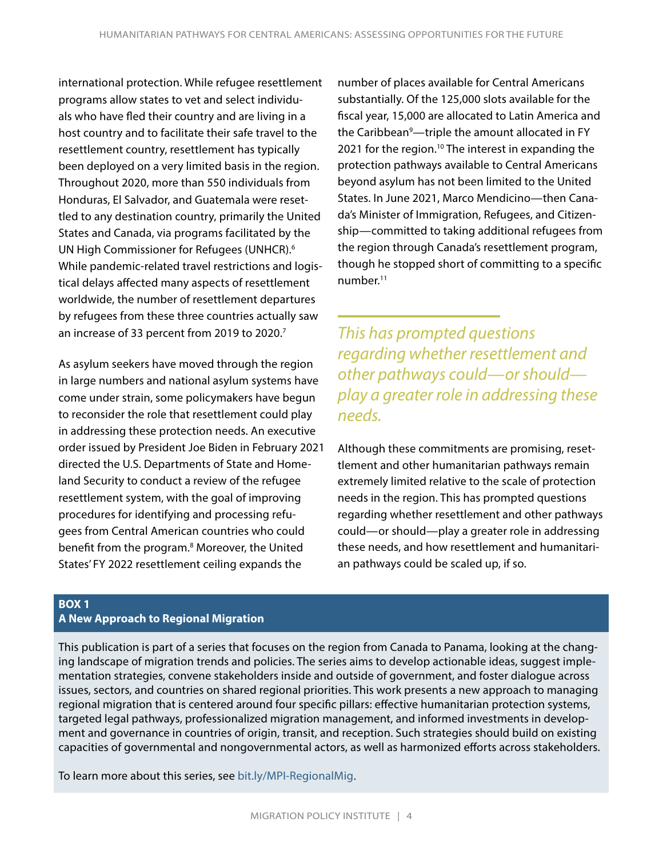international protection. While refugee resettlement programs allow states to vet and select individuals who have fled their country and are living in a host country and to facilitate their safe travel to the resettlement country, resettlement has typically been deployed on a very limited basis in the region. Throughout 2020, more than 550 individuals from Honduras, El Salvador, and Guatemala were resettled to any destination country, primarily the United States and Canada, via programs facilitated by the UN High Commissioner for Refugees (UNHCR).6 While pandemic-related travel restrictions and logistical delays affected many aspects of resettlement worldwide, the number of resettlement departures by refugees from these three countries actually saw an increase of 33 percent from 2019 to 2020.<sup>7</sup>

As asylum seekers have moved through the region in large numbers and national asylum systems have come under strain, some policymakers have begun to reconsider the role that resettlement could play in addressing these protection needs. An executive order issued by President Joe Biden in February 2021 directed the U.S. Departments of State and Homeland Security to conduct a review of the refugee resettlement system, with the goal of improving procedures for identifying and processing refugees from Central American countries who could benefit from the program.<sup>8</sup> Moreover, the United States' FY 2022 resettlement ceiling expands the

number of places available for Central Americans substantially. Of the 125,000 slots available for the fiscal year, 15,000 are allocated to Latin America and the Caribbean<sup>9</sup>—triple the amount allocated in FY 2021 for the region.<sup>10</sup> The interest in expanding the protection pathways available to Central Americans beyond asylum has not been limited to the United States. In June 2021, Marco Mendicino—then Canada's Minister of Immigration, Refugees, and Citizenship—committed to taking additional refugees from the region through Canada's resettlement program, though he stopped short of committing to a specific number.<sup>11</sup>

*This has prompted questions regarding whether resettlement and other pathways could—or should play a greater role in addressing these needs.*

Although these commitments are promising, resettlement and other humanitarian pathways remain extremely limited relative to the scale of protection needs in the region. This has prompted questions regarding whether resettlement and other pathways could—or should—play a greater role in addressing these needs, and how resettlement and humanitarian pathways could be scaled up, if so.

#### **BOX 1 A New Approach to Regional Migration**

This publication is part of a series that focuses on the region from Canada to Panama, looking at the changing landscape of migration trends and policies. The series aims to develop actionable ideas, suggest implementation strategies, convene stakeholders inside and outside of government, and foster dialogue across issues, sectors, and countries on shared regional priorities. This work presents a new approach to managing regional migration that is centered around four specific pillars: effective humanitarian protection systems, targeted legal pathways, professionalized migration management, and informed investments in development and governance in countries of origin, transit, and reception. Such strategies should build on existing capacities of governmental and nongovernmental actors, as well as harmonized efforts across stakeholders.

To learn more about this series, see [bit.ly/MPI-RegionalMig](https://www.migrationpolicy.org/programs/regional-migration).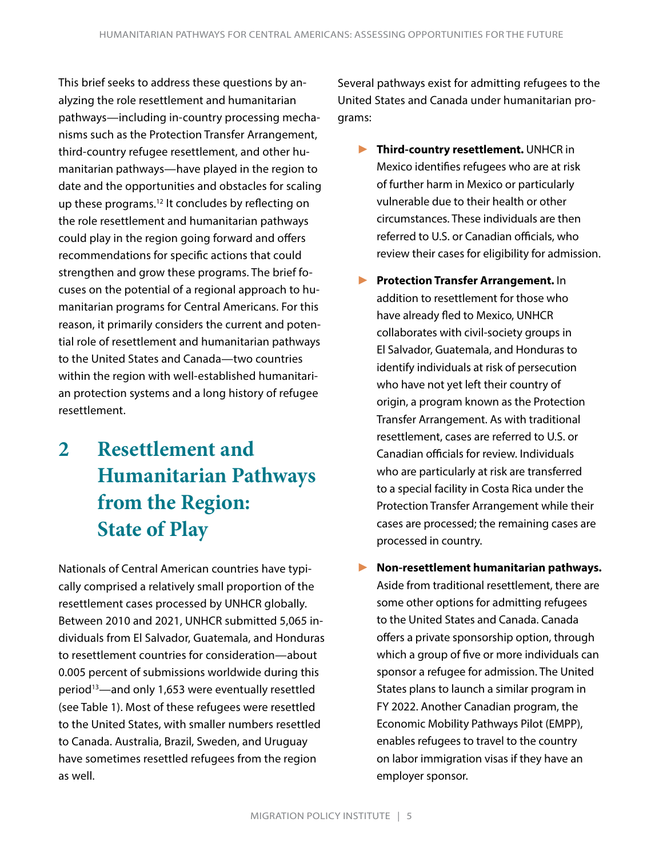This brief seeks to address these questions by analyzing the role resettlement and humanitarian pathways—including in-country processing mechanisms such as the Protection Transfer Arrangement, third-country refugee resettlement, and other humanitarian pathways—have played in the region to date and the opportunities and obstacles for scaling up these programs.<sup>12</sup> It concludes by reflecting on the role resettlement and humanitarian pathways could play in the region going forward and offers recommendations for specific actions that could strengthen and grow these programs. The brief focuses on the potential of a regional approach to humanitarian programs for Central Americans. For this reason, it primarily considers the current and potential role of resettlement and humanitarian pathways to the United States and Canada—two countries within the region with well-established humanitarian protection systems and a long history of refugee resettlement.

# **2 Resettlement and Humanitarian Pathways from the Region: State of Play**

Nationals of Central American countries have typically comprised a relatively small proportion of the resettlement cases processed by UNHCR globally. Between 2010 and 2021, UNHCR submitted 5,065 individuals from El Salvador, Guatemala, and Honduras to resettlement countries for consideration—about 0.005 percent of submissions worldwide during this period<sup>13</sup>—and only 1,653 were eventually resettled (see Table 1). Most of these refugees were resettled to the United States, with smaller numbers resettled to Canada. Australia, Brazil, Sweden, and Uruguay have sometimes resettled refugees from the region as well.

Several pathways exist for admitting refugees to the United States and Canada under humanitarian programs:

- ► **Third-country resettlement.** UNHCR in Mexico identifies refugees who are at risk of further harm in Mexico or particularly vulnerable due to their health or other circumstances. These individuals are then referred to U.S. or Canadian officials, who review their cases for eligibility for admission.
- ► **Protection Transfer Arrangement.** In addition to resettlement for those who have already fled to Mexico, UNHCR collaborates with civil-society groups in El Salvador, Guatemala, and Honduras to identify individuals at risk of persecution who have not yet left their country of origin, a program known as the Protection Transfer Arrangement. As with traditional resettlement, cases are referred to U.S. or Canadian officials for review. Individuals who are particularly at risk are transferred to a special facility in Costa Rica under the Protection Transfer Arrangement while their cases are processed; the remaining cases are processed in country.
- ► **Non-resettlement humanitarian pathways.**  Aside from traditional resettlement, there are some other options for admitting refugees to the United States and Canada. Canada offers a private sponsorship option, through which a group of five or more individuals can sponsor a refugee for admission. The United States plans to launch a similar program in FY 2022. Another Canadian program, the Economic Mobility Pathways Pilot (EMPP), enables refugees to travel to the country on labor immigration visas if they have an employer sponsor.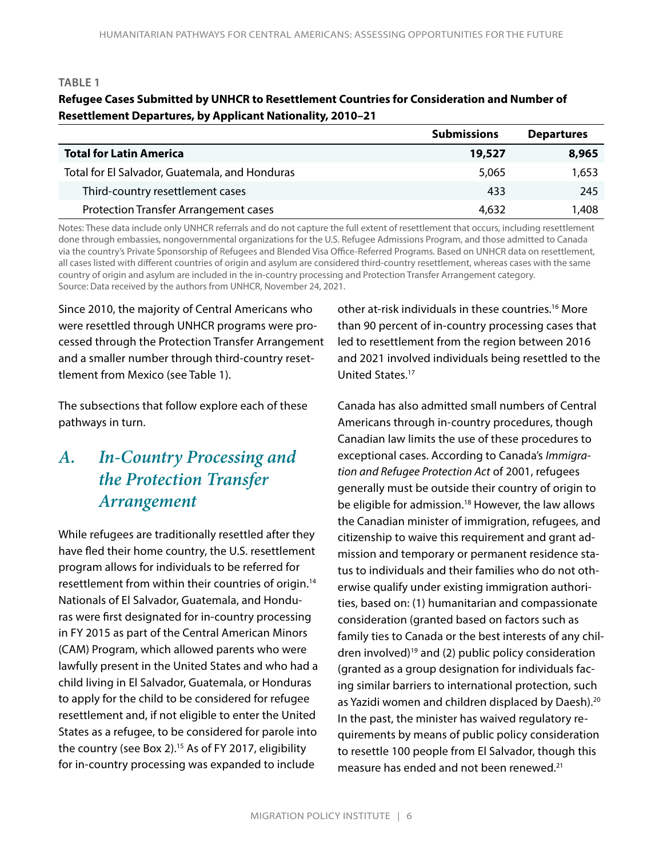#### **TABLE 1**

#### **Refugee Cases Submitted by UNHCR to Resettlement Countries for Consideration and Number of Resettlement Departures, by Applicant Nationality, 2010–21**

|                                                | <b>Submissions</b> | <b>Departures</b> |
|------------------------------------------------|--------------------|-------------------|
| <b>Total for Latin America</b>                 | 19,527             | 8,965             |
| Total for El Salvador, Guatemala, and Honduras | 5,065              | 1,653             |
| Third-country resettlement cases               | 433                | 245               |
| <b>Protection Transfer Arrangement cases</b>   | 4,632              | 1,408             |

Notes: These data include only UNHCR referrals and do not capture the full extent of resettlement that occurs, including resettlement done through embassies, nongovernmental organizations for the U.S. Refugee Admissions Program, and those admitted to Canada via the country's Private Sponsorship of Refugees and Blended Visa Office-Referred Programs. Based on UNHCR data on resettlement, all cases listed with different countries of origin and asylum are considered third-country resettlement, whereas cases with the same country of origin and asylum are included in the in-country processing and Protection Transfer Arrangement category. Source: Data received by the authors from UNHCR, November 24, 2021.

Since 2010, the majority of Central Americans who were resettled through UNHCR programs were processed through the Protection Transfer Arrangement and a smaller number through third-country resettlement from Mexico (see Table 1).

The subsections that follow explore each of these pathways in turn.

### *A. In-Country Processing and the Protection Transfer Arrangement*

While refugees are traditionally resettled after they have fled their home country, the U.S. resettlement program allows for individuals to be referred for resettlement from within their countries of origin.14 Nationals of El Salvador, Guatemala, and Honduras were first designated for in-country processing in FY 2015 as part of the Central American Minors (CAM) Program, which allowed parents who were lawfully present in the United States and who had a child living in El Salvador, Guatemala, or Honduras to apply for the child to be considered for refugee resettlement and, if not eligible to enter the United States as a refugee, to be considered for parole into the country (see Box 2).<sup>15</sup> As of FY 2017, eligibility for in-country processing was expanded to include

other at-risk individuals in these countries.16 More than 90 percent of in-country processing cases that led to resettlement from the region between 2016 and 2021 involved individuals being resettled to the United States.17

Canada has also admitted small numbers of Central Americans through in-country procedures, though Canadian law limits the use of these procedures to exceptional cases. According to Canada's *Immigration and Refugee Protection Act* of 2001, refugees generally must be outside their country of origin to be eligible for admission.<sup>18</sup> However, the law allows the Canadian minister of immigration, refugees, and citizenship to waive this requirement and grant admission and temporary or permanent residence status to individuals and their families who do not otherwise qualify under existing immigration authorities, based on: (1) humanitarian and compassionate consideration (granted based on factors such as family ties to Canada or the best interests of any children involved)19 and (2) public policy consideration (granted as a group designation for individuals facing similar barriers to international protection, such as Yazidi women and children displaced by Daesh).<sup>20</sup> In the past, the minister has waived regulatory requirements by means of public policy consideration to resettle 100 people from El Salvador, though this measure has ended and not been renewed.<sup>21</sup>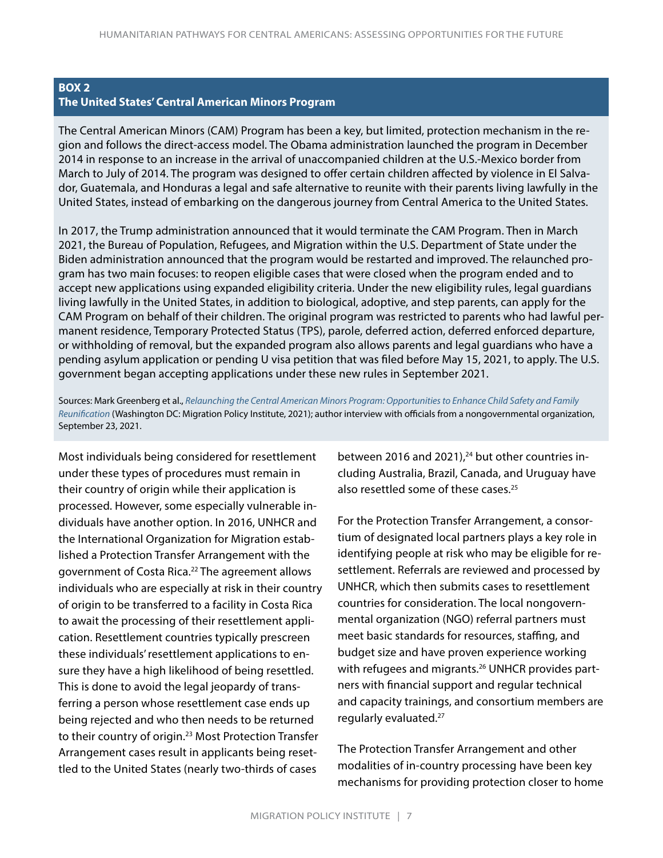#### **BOX 2 The United States' Central American Minors Program**

The Central American Minors (CAM) Program has been a key, but limited, protection mechanism in the region and follows the direct-access model. The Obama administration launched the program in December 2014 in response to an increase in the arrival of unaccompanied children at the U.S.-Mexico border from March to July of 2014. The program was designed to offer certain children affected by violence in El Salvador, Guatemala, and Honduras a legal and safe alternative to reunite with their parents living lawfully in the United States, instead of embarking on the dangerous journey from Central America to the United States.

In 2017, the Trump administration announced that it would terminate the CAM Program. Then in March 2021, the Bureau of Population, Refugees, and Migration within the U.S. Department of State under the Biden administration announced that the program would be restarted and improved. The relaunched program has two main focuses: to reopen eligible cases that were closed when the program ended and to accept new applications using expanded eligibility criteria. Under the new eligibility rules, legal guardians living lawfully in the United States, in addition to biological, adoptive, and step parents, can apply for the CAM Program on behalf of their children. The original program was restricted to parents who had lawful permanent residence, Temporary Protected Status (TPS), parole, deferred action, deferred enforced departure, or withholding of removal, but the expanded program also allows parents and legal guardians who have a pending asylum application or pending U visa petition that was filed before May 15, 2021, to apply. The U.S. government began accepting applications under these new rules in September 2021.

Sources: Mark Greenberg et al., *[Relaunching the Central American Minors Program: Opportunities to Enhance Child Safety and Family](https://www.migrationpolicy.org/research/relaunching-central-american-minors-program)  [Reunification](https://www.migrationpolicy.org/research/relaunching-central-american-minors-program)* (Washington DC: Migration Policy Institute, 2021); author interview with officials from a nongovernmental organization, September 23, 2021.

Most individuals being considered for resettlement under these types of procedures must remain in their country of origin while their application is processed. However, some especially vulnerable individuals have another option. In 2016, UNHCR and the International Organization for Migration established a Protection Transfer Arrangement with the government of Costa Rica.<sup>22</sup> The agreement allows individuals who are especially at risk in their country of origin to be transferred to a facility in Costa Rica to await the processing of their resettlement application. Resettlement countries typically prescreen these individuals' resettlement applications to ensure they have a high likelihood of being resettled. This is done to avoid the legal jeopardy of transferring a person whose resettlement case ends up being rejected and who then needs to be returned to their country of origin.23 Most Protection Transfer Arrangement cases result in applicants being resettled to the United States (nearly two-thirds of cases

between 2016 and 2021), $24$  but other countries including Australia, Brazil, Canada, and Uruguay have also resettled some of these cases.<sup>25</sup>

For the Protection Transfer Arrangement, a consortium of designated local partners plays a key role in identifying people at risk who may be eligible for resettlement. Referrals are reviewed and processed by UNHCR, which then submits cases to resettlement countries for consideration. The local nongovernmental organization (NGO) referral partners must meet basic standards for resources, staffing, and budget size and have proven experience working with refugees and migrants.<sup>26</sup> UNHCR provides partners with financial support and regular technical and capacity trainings, and consortium members are regularly evaluated.27

The Protection Transfer Arrangement and other modalities of in-country processing have been key mechanisms for providing protection closer to home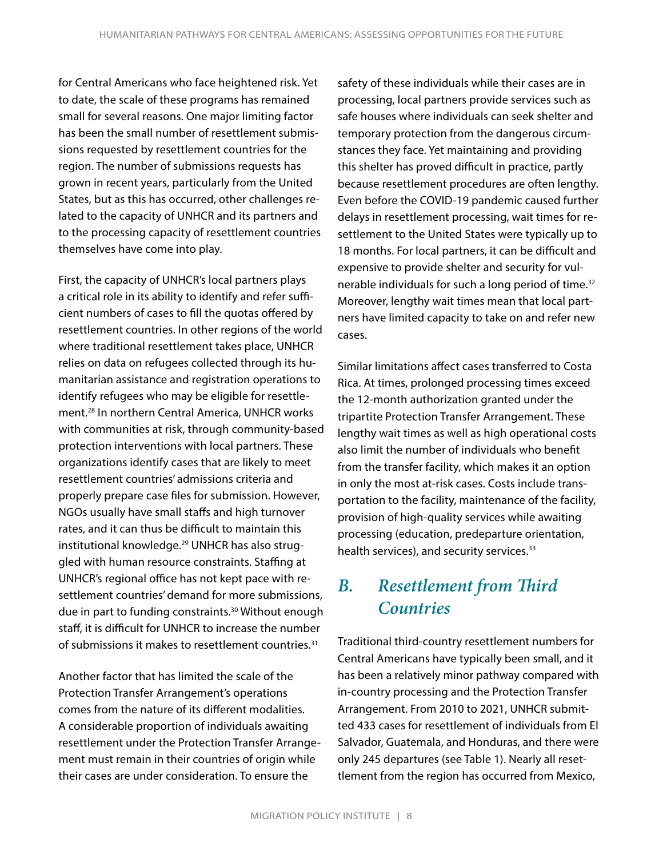for Central Americans who face heightened risk. Yet to date, the scale of these programs has remained small for several reasons. One major limiting factor has been the small number of resettlement submissions requested by resettlement countries for the region. The number of submissions requests has grown in recent years, particularly from the United States, but as this has occurred, other challenges related to the capacity of UNHCR and its partners and to the processing capacity of resettlement countries themselves have come into play.

First, the capacity of UNHCR's local partners plays a critical role in its ability to identify and refer sufficient numbers of cases to fill the quotas offered by resettlement countries. In other regions of the world where traditional resettlement takes place, UNHCR relies on data on refugees collected through its humanitarian assistance and registration operations to identify refugees who may be eligible for resettlement.28 In northern Central America, UNHCR works with communities at risk, through community-based protection interventions with local partners. These organizations identify cases that are likely to meet resettlement countries' admissions criteria and properly prepare case files for submission. However, NGOs usually have small staffs and high turnover rates, and it can thus be difficult to maintain this institutional knowledge.<sup>29</sup> UNHCR has also struggled with human resource constraints. Staffing at UNHCR's regional office has not kept pace with resettlement countries' demand for more submissions, due in part to funding constraints.30 Without enough staff, it is difficult for UNHCR to increase the number of submissions it makes to resettlement countries.<sup>31</sup>

Another factor that has limited the scale of the Protection Transfer Arrangement's operations comes from the nature of its different modalities. A considerable proportion of individuals awaiting resettlement under the Protection Transfer Arrangement must remain in their countries of origin while their cases are under consideration. To ensure the

safety of these individuals while their cases are in processing, local partners provide services such as safe houses where individuals can seek shelter and temporary protection from the dangerous circumstances they face. Yet maintaining and providing this shelter has proved difficult in practice, partly because resettlement procedures are often lengthy. Even before the COVID-19 pandemic caused further delays in resettlement processing, wait times for resettlement to the United States were typically up to 18 months. For local partners, it can be difficult and expensive to provide shelter and security for vulnerable individuals for such a long period of time.<sup>32</sup> Moreover, lengthy wait times mean that local partners have limited capacity to take on and refer new cases.

Similar limitations affect cases transferred to Costa Rica. At times, prolonged processing times exceed the 12-month authorization granted under the tripartite Protection Transfer Arrangement. These lengthy wait times as well as high operational costs also limit the number of individuals who benefit from the transfer facility, which makes it an option in only the most at-risk cases. Costs include transportation to the facility, maintenance of the facility, provision of high-quality services while awaiting processing (education, predeparture orientation, health services), and security services.<sup>33</sup>

### *B. Resettlement from Third Countries*

Traditional third-country resettlement numbers for Central Americans have typically been small, and it has been a relatively minor pathway compared with in-country processing and the Protection Transfer Arrangement. From 2010 to 2021, UNHCR submitted 433 cases for resettlement of individuals from El Salvador, Guatemala, and Honduras, and there were only 245 departures (see Table 1). Nearly all resettlement from the region has occurred from Mexico,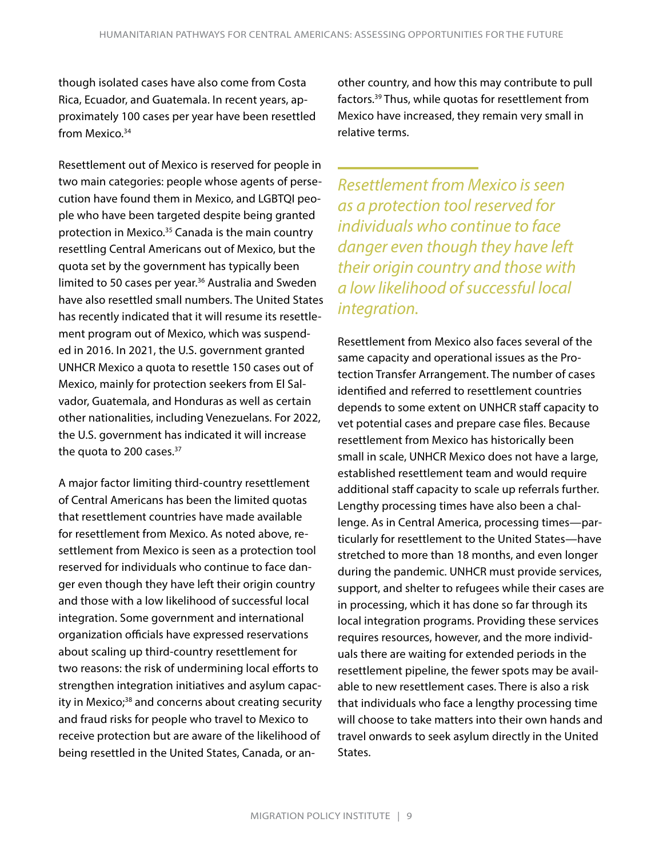though isolated cases have also come from Costa Rica, Ecuador, and Guatemala. In recent years, approximately 100 cases per year have been resettled from Mexico.<sup>34</sup>

Resettlement out of Mexico is reserved for people in two main categories: people whose agents of persecution have found them in Mexico, and LGBTQI people who have been targeted despite being granted protection in Mexico.<sup>35</sup> Canada is the main country resettling Central Americans out of Mexico, but the quota set by the government has typically been limited to 50 cases per year.<sup>36</sup> Australia and Sweden have also resettled small numbers. The United States has recently indicated that it will resume its resettlement program out of Mexico, which was suspended in 2016. In 2021, the U.S. government granted UNHCR Mexico a quota to resettle 150 cases out of Mexico, mainly for protection seekers from El Salvador, Guatemala, and Honduras as well as certain other nationalities, including Venezuelans. For 2022, the U.S. government has indicated it will increase the quota to 200 cases.<sup>37</sup>

A major factor limiting third-country resettlement of Central Americans has been the limited quotas that resettlement countries have made available for resettlement from Mexico. As noted above, resettlement from Mexico is seen as a protection tool reserved for individuals who continue to face danger even though they have left their origin country and those with a low likelihood of successful local integration. Some government and international organization officials have expressed reservations about scaling up third-country resettlement for two reasons: the risk of undermining local efforts to strengthen integration initiatives and asylum capacity in Mexico;<sup>38</sup> and concerns about creating security and fraud risks for people who travel to Mexico to receive protection but are aware of the likelihood of being resettled in the United States, Canada, or an-

other country, and how this may contribute to pull factors.39 Thus, while quotas for resettlement from Mexico have increased, they remain very small in relative terms.

*Resettlement from Mexico is seen as a protection tool reserved for individuals who continue to face danger even though they have left their origin country and those with a low likelihood of successful local integration.*

Resettlement from Mexico also faces several of the same capacity and operational issues as the Protection Transfer Arrangement. The number of cases identified and referred to resettlement countries depends to some extent on UNHCR staff capacity to vet potential cases and prepare case files. Because resettlement from Mexico has historically been small in scale, UNHCR Mexico does not have a large, established resettlement team and would require additional staff capacity to scale up referrals further. Lengthy processing times have also been a challenge. As in Central America, processing times—particularly for resettlement to the United States—have stretched to more than 18 months, and even longer during the pandemic. UNHCR must provide services, support, and shelter to refugees while their cases are in processing, which it has done so far through its local integration programs. Providing these services requires resources, however, and the more individuals there are waiting for extended periods in the resettlement pipeline, the fewer spots may be available to new resettlement cases. There is also a risk that individuals who face a lengthy processing time will choose to take matters into their own hands and travel onwards to seek asylum directly in the United States.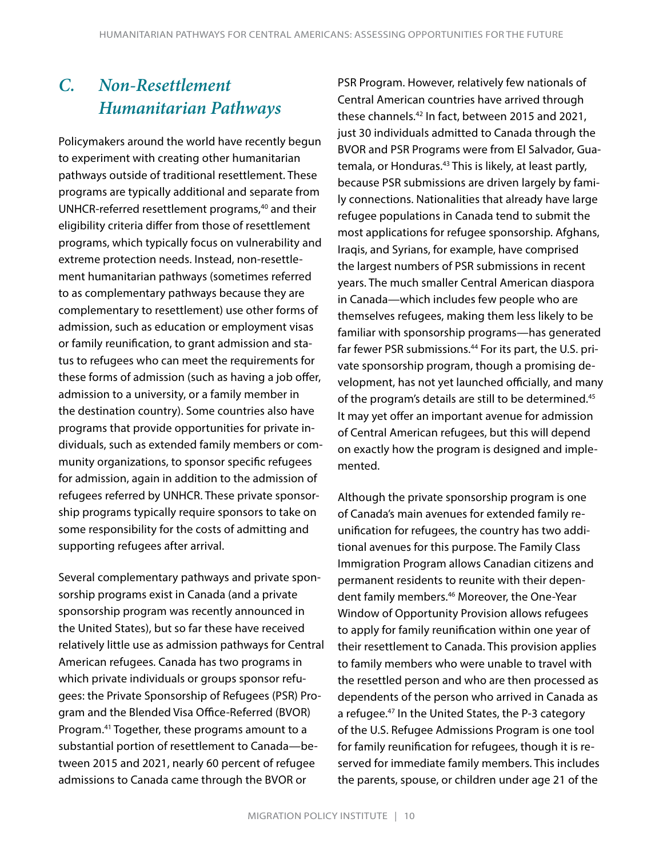### *C. Non-Resettlement Humanitarian Pathways*

Policymakers around the world have recently begun to experiment with creating other humanitarian pathways outside of traditional resettlement. These programs are typically additional and separate from UNHCR-referred resettlement programs,<sup>40</sup> and their eligibility criteria differ from those of resettlement programs, which typically focus on vulnerability and extreme protection needs. Instead, non-resettlement humanitarian pathways (sometimes referred to as complementary pathways because they are complementary to resettlement) use other forms of admission, such as education or employment visas or family reunification, to grant admission and status to refugees who can meet the requirements for these forms of admission (such as having a job offer, admission to a university, or a family member in the destination country). Some countries also have programs that provide opportunities for private individuals, such as extended family members or community organizations, to sponsor specific refugees for admission, again in addition to the admission of refugees referred by UNHCR. These private sponsorship programs typically require sponsors to take on some responsibility for the costs of admitting and supporting refugees after arrival.

Several complementary pathways and private sponsorship programs exist in Canada (and a private sponsorship program was recently announced in the United States), but so far these have received relatively little use as admission pathways for Central American refugees. Canada has two programs in which private individuals or groups sponsor refugees: the Private Sponsorship of Refugees (PSR) Program and the Blended Visa Office-Referred (BVOR) Program.41 Together, these programs amount to a substantial portion of resettlement to Canada—between 2015 and 2021, nearly 60 percent of refugee admissions to Canada came through the BVOR or

PSR Program. However, relatively few nationals of Central American countries have arrived through these channels.<sup>42</sup> In fact, between 2015 and 2021, just 30 individuals admitted to Canada through the BVOR and PSR Programs were from El Salvador, Guatemala, or Honduras.<sup>43</sup> This is likely, at least partly, because PSR submissions are driven largely by family connections. Nationalities that already have large refugee populations in Canada tend to submit the most applications for refugee sponsorship. Afghans, Iraqis, and Syrians, for example, have comprised the largest numbers of PSR submissions in recent years. The much smaller Central American diaspora in Canada—which includes few people who are themselves refugees, making them less likely to be familiar with sponsorship programs—has generated far fewer PSR submissions.<sup>44</sup> For its part, the U.S. private sponsorship program, though a promising development, has not yet launched officially, and many of the program's details are still to be determined.<sup>45</sup> It may yet offer an important avenue for admission of Central American refugees, but this will depend on exactly how the program is designed and implemented.

Although the private sponsorship program is one of Canada's main avenues for extended family reunification for refugees, the country has two additional avenues for this purpose. The Family Class Immigration Program allows Canadian citizens and permanent residents to reunite with their dependent family members.<sup>46</sup> Moreover, the One-Year Window of Opportunity Provision allows refugees to apply for family reunification within one year of their resettlement to Canada. This provision applies to family members who were unable to travel with the resettled person and who are then processed as dependents of the person who arrived in Canada as a refugee.47 In the United States, the P-3 category of the U.S. Refugee Admissions Program is one tool for family reunification for refugees, though it is reserved for immediate family members. This includes the parents, spouse, or children under age 21 of the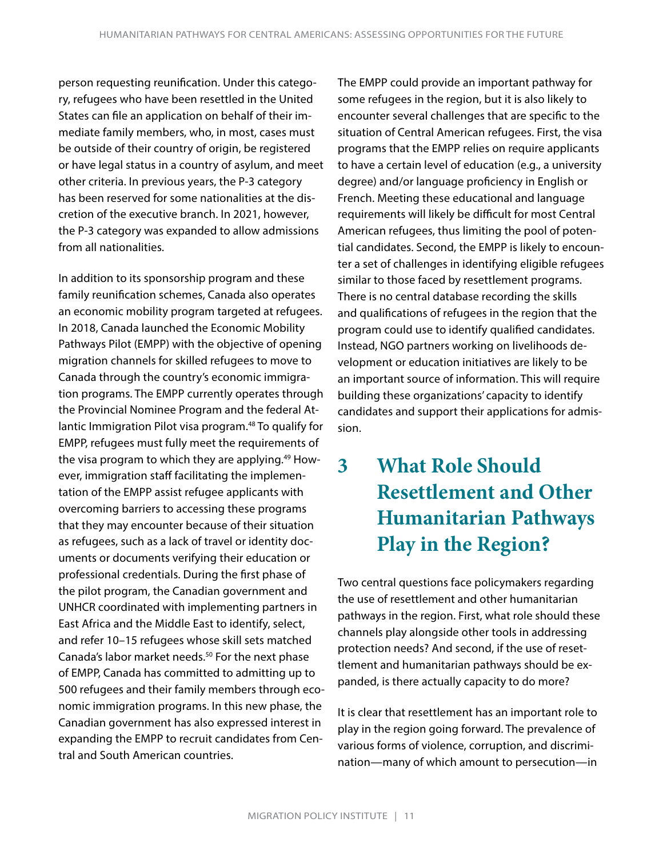person requesting reunification. Under this category, refugees who have been resettled in the United States can file an application on behalf of their immediate family members, who, in most, cases must be outside of their country of origin, be registered or have legal status in a country of asylum, and meet other criteria. In previous years, the P-3 category has been reserved for some nationalities at the discretion of the executive branch. In 2021, however, the P-3 category was expanded to allow admissions from all nationalities.

In addition to its sponsorship program and these family reunification schemes, Canada also operates an economic mobility program targeted at refugees. In 2018, Canada launched the Economic Mobility Pathways Pilot (EMPP) with the objective of opening migration channels for skilled refugees to move to Canada through the country's economic immigration programs. The EMPP currently operates through the Provincial Nominee Program and the federal Atlantic Immigration Pilot visa program.<sup>48</sup> To qualify for EMPP, refugees must fully meet the requirements of the visa program to which they are applying.<sup>49</sup> However, immigration staff facilitating the implementation of the EMPP assist refugee applicants with overcoming barriers to accessing these programs that they may encounter because of their situation as refugees, such as a lack of travel or identity documents or documents verifying their education or professional credentials. During the first phase of the pilot program, the Canadian government and UNHCR coordinated with implementing partners in East Africa and the Middle East to identify, select, and refer 10–15 refugees whose skill sets matched Canada's labor market needs.<sup>50</sup> For the next phase of EMPP, Canada has committed to admitting up to 500 refugees and their family members through economic immigration programs. In this new phase, the Canadian government has also expressed interest in expanding the EMPP to recruit candidates from Central and South American countries.

The EMPP could provide an important pathway for some refugees in the region, but it is also likely to encounter several challenges that are specific to the situation of Central American refugees. First, the visa programs that the EMPP relies on require applicants to have a certain level of education (e.g., a university degree) and/or language proficiency in English or French. Meeting these educational and language requirements will likely be difficult for most Central American refugees, thus limiting the pool of potential candidates. Second, the EMPP is likely to encounter a set of challenges in identifying eligible refugees similar to those faced by resettlement programs. There is no central database recording the skills and qualifications of refugees in the region that the program could use to identify qualified candidates. Instead, NGO partners working on livelihoods development or education initiatives are likely to be an important source of information. This will require building these organizations' capacity to identify candidates and support their applications for admission.

# **3 What Role Should Resettlement and Other Humanitarian Pathways Play in the Region?**

Two central questions face policymakers regarding the use of resettlement and other humanitarian pathways in the region. First, what role should these channels play alongside other tools in addressing protection needs? And second, if the use of resettlement and humanitarian pathways should be expanded, is there actually capacity to do more?

It is clear that resettlement has an important role to play in the region going forward. The prevalence of various forms of violence, corruption, and discrimination—many of which amount to persecution—in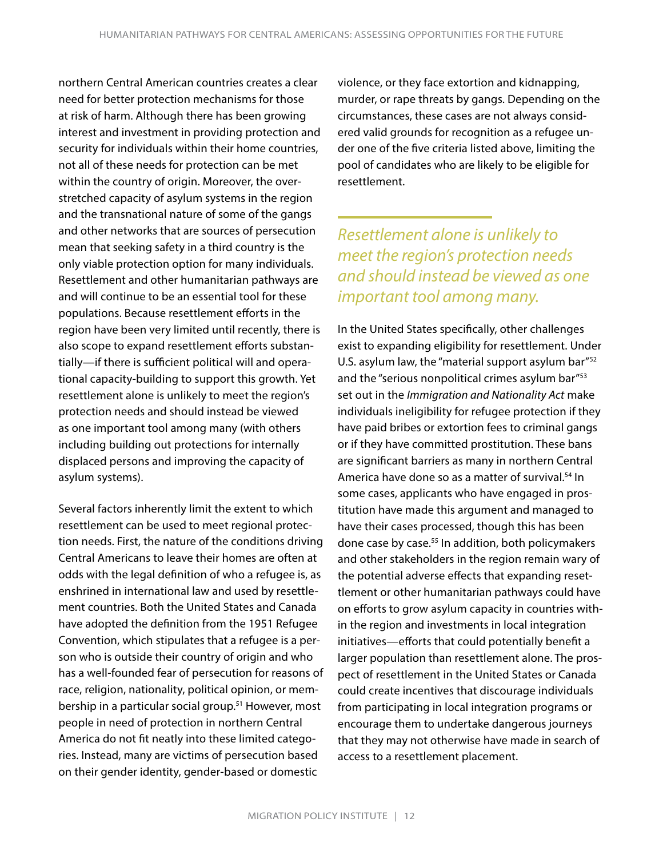northern Central American countries creates a clear need for better protection mechanisms for those at risk of harm. Although there has been growing interest and investment in providing protection and security for individuals within their home countries, not all of these needs for protection can be met within the country of origin. Moreover, the overstretched capacity of asylum systems in the region and the transnational nature of some of the gangs and other networks that are sources of persecution mean that seeking safety in a third country is the only viable protection option for many individuals. Resettlement and other humanitarian pathways are and will continue to be an essential tool for these populations. Because resettlement efforts in the region have been very limited until recently, there is also scope to expand resettlement efforts substantially—if there is sufficient political will and operational capacity-building to support this growth. Yet resettlement alone is unlikely to meet the region's protection needs and should instead be viewed as one important tool among many (with others including building out protections for internally displaced persons and improving the capacity of asylum systems).

Several factors inherently limit the extent to which resettlement can be used to meet regional protection needs. First, the nature of the conditions driving Central Americans to leave their homes are often at odds with the legal definition of who a refugee is, as enshrined in international law and used by resettlement countries. Both the United States and Canada have adopted the definition from the 1951 Refugee Convention, which stipulates that a refugee is a person who is outside their country of origin and who has a well-founded fear of persecution for reasons of race, religion, nationality, political opinion, or membership in a particular social group.<sup>51</sup> However, most people in need of protection in northern Central America do not fit neatly into these limited categories. Instead, many are victims of persecution based on their gender identity, gender-based or domestic

violence, or they face extortion and kidnapping, murder, or rape threats by gangs. Depending on the circumstances, these cases are not always considered valid grounds for recognition as a refugee under one of the five criteria listed above, limiting the pool of candidates who are likely to be eligible for resettlement.

*Resettlement alone is unlikely to meet the region's protection needs and should instead be viewed as one important tool among many.*

In the United States specifically, other challenges exist to expanding eligibility for resettlement. Under U.S. asylum law, the "material support asylum bar"<sup>52</sup> and the "serious nonpolitical crimes asylum bar"<sup>53</sup> set out in the *Immigration and Nationality Act* make individuals ineligibility for refugee protection if they have paid bribes or extortion fees to criminal gangs or if they have committed prostitution. These bans are significant barriers as many in northern Central America have done so as a matter of survival.<sup>54</sup> In some cases, applicants who have engaged in prostitution have made this argument and managed to have their cases processed, though this has been done case by case.<sup>55</sup> In addition, both policymakers and other stakeholders in the region remain wary of the potential adverse effects that expanding resettlement or other humanitarian pathways could have on efforts to grow asylum capacity in countries within the region and investments in local integration initiatives—efforts that could potentially benefit a larger population than resettlement alone. The prospect of resettlement in the United States or Canada could create incentives that discourage individuals from participating in local integration programs or encourage them to undertake dangerous journeys that they may not otherwise have made in search of access to a resettlement placement.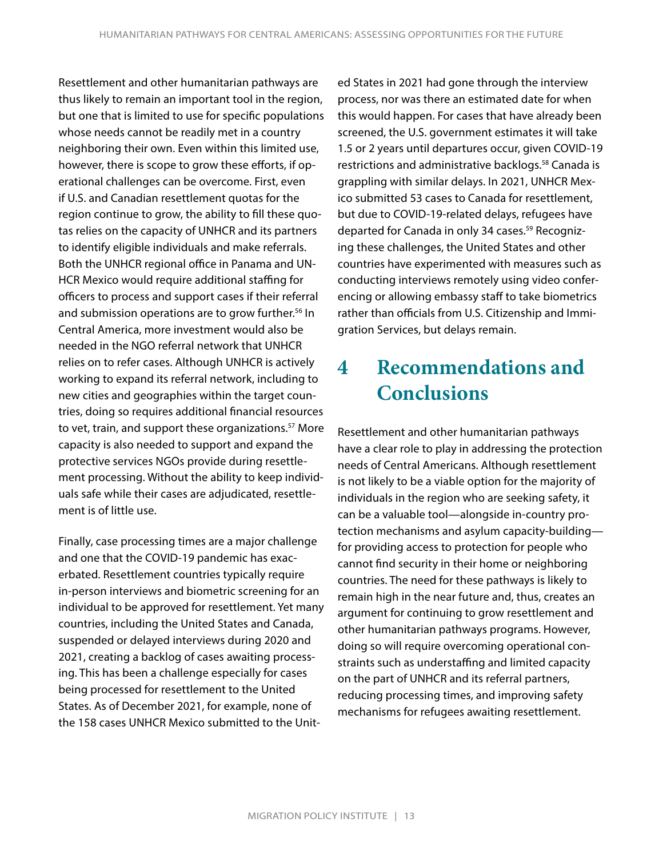Resettlement and other humanitarian pathways are thus likely to remain an important tool in the region, but one that is limited to use for specific populations whose needs cannot be readily met in a country neighboring their own. Even within this limited use, however, there is scope to grow these efforts, if operational challenges can be overcome. First, even if U.S. and Canadian resettlement quotas for the region continue to grow, the ability to fill these quotas relies on the capacity of UNHCR and its partners to identify eligible individuals and make referrals. Both the UNHCR regional office in Panama and UN-HCR Mexico would require additional staffing for officers to process and support cases if their referral and submission operations are to grow further.<sup>56</sup> In Central America, more investment would also be needed in the NGO referral network that UNHCR relies on to refer cases. Although UNHCR is actively working to expand its referral network, including to new cities and geographies within the target countries, doing so requires additional financial resources to vet, train, and support these organizations.<sup>57</sup> More capacity is also needed to support and expand the protective services NGOs provide during resettlement processing. Without the ability to keep individuals safe while their cases are adjudicated, resettlement is of little use.

Finally, case processing times are a major challenge and one that the COVID-19 pandemic has exacerbated. Resettlement countries typically require in-person interviews and biometric screening for an individual to be approved for resettlement. Yet many countries, including the United States and Canada, suspended or delayed interviews during 2020 and 2021, creating a backlog of cases awaiting processing. This has been a challenge especially for cases being processed for resettlement to the United States. As of December 2021, for example, none of the 158 cases UNHCR Mexico submitted to the Unit-

ed States in 2021 had gone through the interview process, nor was there an estimated date for when this would happen. For cases that have already been screened, the U.S. government estimates it will take 1.5 or 2 years until departures occur, given COVID-19 restrictions and administrative backlogs.<sup>58</sup> Canada is grappling with similar delays. In 2021, UNHCR Mexico submitted 53 cases to Canada for resettlement, but due to COVID-19-related delays, refugees have departed for Canada in only 34 cases.<sup>59</sup> Recognizing these challenges, the United States and other countries have experimented with measures such as conducting interviews remotely using video conferencing or allowing embassy staff to take biometrics rather than officials from U.S. Citizenship and Immigration Services, but delays remain.

# **4 Recommendations and Conclusions**

Resettlement and other humanitarian pathways have a clear role to play in addressing the protection needs of Central Americans. Although resettlement is not likely to be a viable option for the majority of individuals in the region who are seeking safety, it can be a valuable tool—alongside in-country protection mechanisms and asylum capacity-building for providing access to protection for people who cannot find security in their home or neighboring countries. The need for these pathways is likely to remain high in the near future and, thus, creates an argument for continuing to grow resettlement and other humanitarian pathways programs. However, doing so will require overcoming operational constraints such as understaffing and limited capacity on the part of UNHCR and its referral partners, reducing processing times, and improving safety mechanisms for refugees awaiting resettlement.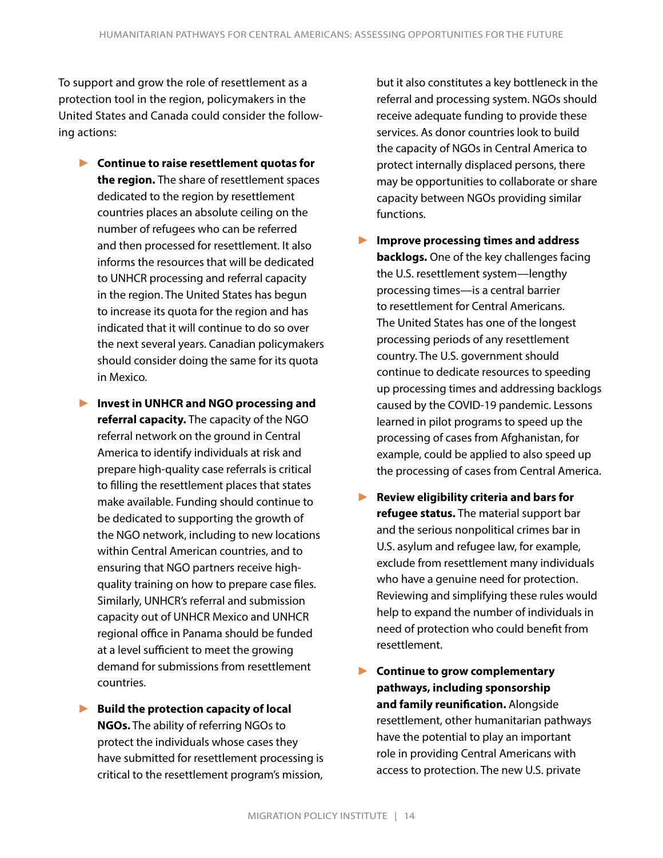To support and grow the role of resettlement as a protection tool in the region, policymakers in the United States and Canada could consider the following actions:

- ► **Continue to raise resettlement quotas for the region.** The share of resettlement spaces dedicated to the region by resettlement countries places an absolute ceiling on the number of refugees who can be referred and then processed for resettlement. It also informs the resources that will be dedicated to UNHCR processing and referral capacity in the region. The United States has begun to increase its quota for the region and has indicated that it will continue to do so over the next several years. Canadian policymakers should consider doing the same for its quota in Mexico.
- ► **Invest in UNHCR and NGO processing and referral capacity.** The capacity of the NGO referral network on the ground in Central America to identify individuals at risk and prepare high-quality case referrals is critical to filling the resettlement places that states make available. Funding should continue to be dedicated to supporting the growth of the NGO network, including to new locations within Central American countries, and to ensuring that NGO partners receive highquality training on how to prepare case files. Similarly, UNHCR's referral and submission capacity out of UNHCR Mexico and UNHCR regional office in Panama should be funded at a level sufficient to meet the growing demand for submissions from resettlement countries.
- ► **Build the protection capacity of local NGOs.** The ability of referring NGOs to protect the individuals whose cases they have submitted for resettlement processing is critical to the resettlement program's mission,

but it also constitutes a key bottleneck in the referral and processing system. NGOs should receive adequate funding to provide these services. As donor countries look to build the capacity of NGOs in Central America to protect internally displaced persons, there may be opportunities to collaborate or share capacity between NGOs providing similar functions.

- ► **Improve processing times and address backlogs.** One of the key challenges facing the U.S. resettlement system—lengthy processing times—is a central barrier to resettlement for Central Americans. The United States has one of the longest processing periods of any resettlement country. The U.S. government should continue to dedicate resources to speeding up processing times and addressing backlogs caused by the COVID-19 pandemic. Lessons learned in pilot programs to speed up the processing of cases from Afghanistan, for example, could be applied to also speed up the processing of cases from Central America.
- ► **Review eligibility criteria and bars for refugee status.** The material support bar and the serious nonpolitical crimes bar in U.S. asylum and refugee law, for example, exclude from resettlement many individuals who have a genuine need for protection. Reviewing and simplifying these rules would help to expand the number of individuals in need of protection who could benefit from resettlement.
- ► **Continue to grow complementary pathways, including sponsorship and family reunification.** Alongside resettlement, other humanitarian pathways have the potential to play an important role in providing Central Americans with access to protection. The new U.S. private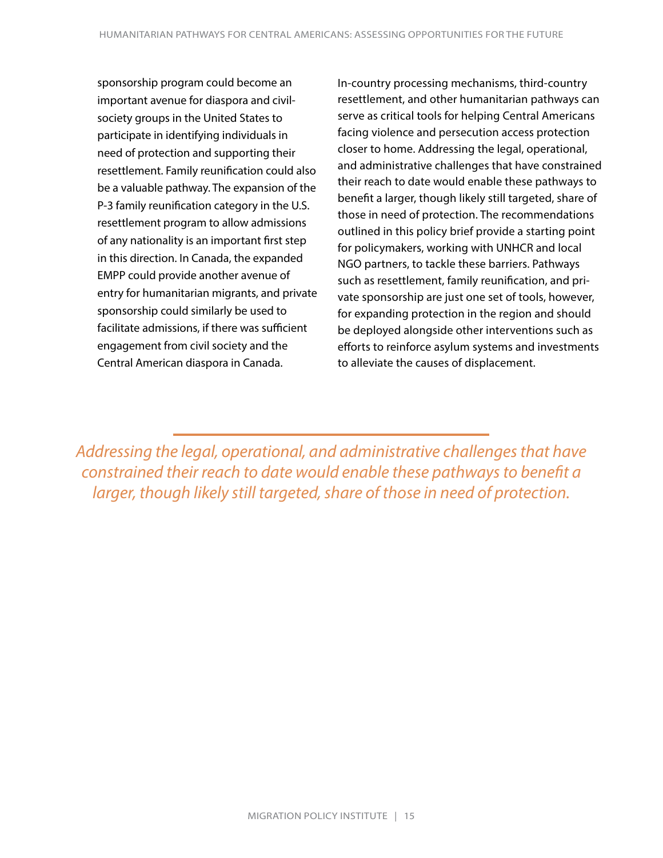sponsorship program could become an important avenue for diaspora and civilsociety groups in the United States to participate in identifying individuals in need of protection and supporting their resettlement. Family reunification could also be a valuable pathway. The expansion of the P-3 family reunification category in the U.S. resettlement program to allow admissions of any nationality is an important first step in this direction. In Canada, the expanded EMPP could provide another avenue of entry for humanitarian migrants, and private sponsorship could similarly be used to facilitate admissions, if there was sufficient engagement from civil society and the Central American diaspora in Canada.

In-country processing mechanisms, third-country resettlement, and other humanitarian pathways can serve as critical tools for helping Central Americans facing violence and persecution access protection closer to home. Addressing the legal, operational, and administrative challenges that have constrained their reach to date would enable these pathways to benefit a larger, though likely still targeted, share of those in need of protection. The recommendations outlined in this policy brief provide a starting point for policymakers, working with UNHCR and local NGO partners, to tackle these barriers. Pathways such as resettlement, family reunification, and private sponsorship are just one set of tools, however, for expanding protection in the region and should be deployed alongside other interventions such as efforts to reinforce asylum systems and investments to alleviate the causes of displacement.

*Addressing the legal, operational, and administrative challenges that have constrained their reach to date would enable these pathways to benefit a larger, though likely still targeted, share of those in need of protection.*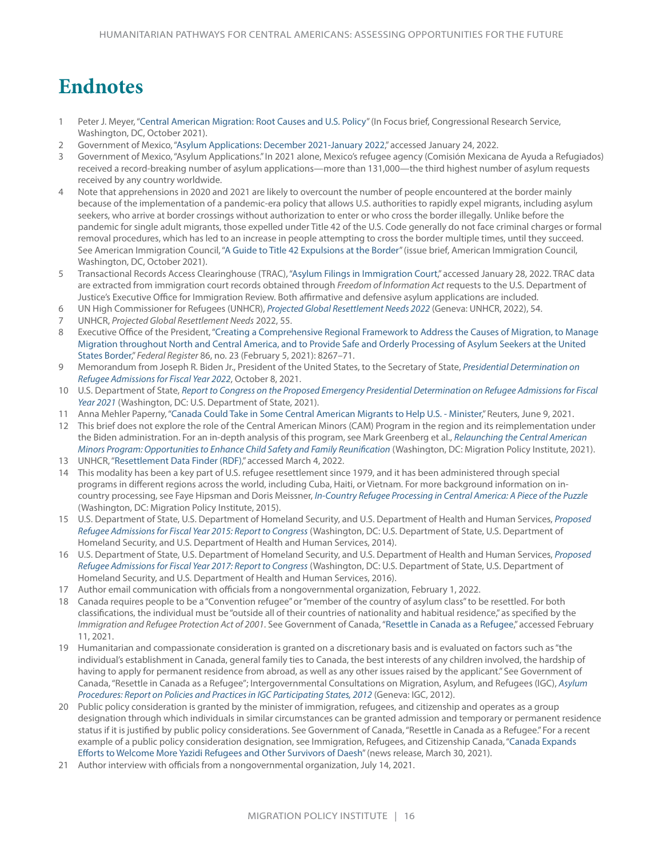# **Endnotes**

- 1 Peter J. Meyer, ["Central American Migration: Root Causes and U.S. Policy](https://sgp.fas.org/crs/row/IF11151.pdf)" (In Focus brief, Congressional Research Service, Washington, DC, October 2021).
- 2 Government of Mexico, ["Asylum Applications: December 2021-January 2022](https://www.gob.mx/cms/uploads/attachment/file/690741/Cierre_Diciembre-2021__1-Enero-2022_.pdf)," accessed January 24, 2022.
- 3 Government of Mexico, "Asylum Applications." In 2021 alone, Mexico's refugee agency (Comisión Mexicana de Ayuda a Refugiados) received a record-breaking number of asylum applications—more than 131,000—the third highest number of asylum requests received by any country worldwide.
- 4 Note that apprehensions in 2020 and 2021 are likely to overcount the number of people encountered at the border mainly because of the implementation of a pandemic-era policy that allows U.S. authorities to rapidly expel migrants, including asylum seekers, who arrive at border crossings without authorization to enter or who cross the border illegally. Unlike before the pandemic for single adult migrants, those expelled under Title 42 of the U.S. Code generally do not face criminal charges or formal removal procedures, which has led to an increase in people attempting to cross the border multiple times, until they succeed. See American Immigration Council, ["A Guide to Title 42 Expulsions at the Border"](https://www.americanimmigrationcouncil.org/sites/default/files/research/title_42_expulsions_at_the_border.pdf) (issue brief, American Immigration Council, Washington, DC, October 2021).
- 5 Transactional Records Access Clearinghouse (TRAC), ["Asylum Filings in Immigration Court,"](https://trac.syr.edu/phptools/immigration/asyfile/) accessed January 28, 2022. TRAC data are extracted from immigration court records obtained through *Freedom of Information Act* requests to the U.S. Department of Justice's Executive Office for Immigration Review. Both affirmative and defensive asylum applications are included.
- 6 UN High Commissioner for Refugees (UNHCR), *[Projected Global Resettlement Needs 2022](https://www.unhcr.org/protection/resettlement/60d320a64/projected-global-resettlement-needs-2022-pdf.html)* (Geneva: UNHCR, 2022), 54.
- 7 UNHCR, *Projected Global Resettlement Needs* 2022, 55.
- 8 Executive Office of the President, ["Creating a Comprehensive Regional Framework to Address the Causes of Migration, to Manage](https://www.federalregister.gov/documents/2021/02/05/2021-02561/creating-a-comprehensive-regional-framework-to-address-the-causes-of-migration-to-manage-migration)  [Migration throughout North and Central America, and to Provide Safe and Orderly Processing of Asylum Seekers at the United](https://www.federalregister.gov/documents/2021/02/05/2021-02561/creating-a-comprehensive-regional-framework-to-address-the-causes-of-migration-to-manage-migration)  [States Border](https://www.federalregister.gov/documents/2021/02/05/2021-02561/creating-a-comprehensive-regional-framework-to-address-the-causes-of-migration-to-manage-migration)," *Federal Register* 86, no. 23 (February 5, 2021): 8267–71.
- 9 Memorandum from Joseph R. Biden Jr., President of the United States, to the Secretary of State, *[Presidential Determination on](https://www.whitehouse.gov/briefing-room/statements-releases/2021/10/08/memorandum-for-the-secretary-of-state-on-presidential-determination-on-refugee-admissions-for-fiscal-year-2022/)  [Refugee Admissions for Fiscal Year 2022](https://www.whitehouse.gov/briefing-room/statements-releases/2021/10/08/memorandum-for-the-secretary-of-state-on-presidential-determination-on-refugee-admissions-for-fiscal-year-2022/)*, October 8, 2021.
- 10 U.S. Department of State, *[Report to Congress on the Proposed Emergency Presidential Determination on Refugee Admissions for Fiscal](https://www.state.gov/proposed-emergency-presidential-determination-on-refugee-admissions-for-fy21/)  [Year 2021](https://www.state.gov/proposed-emergency-presidential-determination-on-refugee-admissions-for-fy21/)* (Washington, DC: U.S. Department of State, 2021).
- 11 Anna Mehler Paperny, ["Canada Could Take in Some Central American Migrants to Help U.S. Minister,](https://www.reuters.com/world/americas/canada-could-take-some-central-american-migrants-help-us-minister-2021-06-09/)" Reuters, June 9, 2021.
- 12 This brief does not explore the role of the Central American Minors (CAM) Program in the region and its reimplementation under the Biden administration. For an in-depth analysis of this program, see Mark Greenberg et al., *[Relaunching the Central American](https://www.migrationpolicy.org/research/relaunching-central-american-minors-program)  [Minors Program: Opportunities to Enhance Child Safety and Family Reunification](https://www.migrationpolicy.org/research/relaunching-central-american-minors-program)* (Washington, DC: Migration Policy Institute, 2021).
- 13 UNHCR, "[Resettlement Data Finder \(RDF\)](https://rsq.unhcr.org/en/#V3fW)," accessed March 4, 2022.
- 14 This modality has been a key part of U.S. refugee resettlement since 1979, and it has been administered through special programs in different regions across the world, including Cuba, Haiti, or Vietnam. For more background information on incountry processing, see Faye Hipsman and Doris Meissner, *[In-Country Refugee Processing in Central America: A Piece of the Puzzle](https://www.migrationpolicy.org/research/country-processing-central-america-piece-puzzle)* (Washington, DC: Migration Policy Institute, 2015).
- 15 U.S. Department of State, U.S. Department of Homeland Security, and U.S. Department of Health and Human Services, *[Proposed](https://2009-2017.state.gov/j/prm/releases/docsforcongress/231817.htm)  [Refugee Admissions for Fiscal Year 2015: Report to Congress](https://2009-2017.state.gov/j/prm/releases/docsforcongress/231817.htm)* (Washington, DC: U.S. Department of State, U.S. Department of Homeland Security, and U.S. Department of Health and Human Services, 2014).
- 16 U.S. Department of State, U.S. Department of Homeland Security, and U.S. Department of Health and Human Services, *[Proposed](https://2009-2017.state.gov/j/prm/releases/docsforcongress/261956.htm)  [Refugee Admissions for Fiscal Year 2017: Report to Congress](https://2009-2017.state.gov/j/prm/releases/docsforcongress/261956.htm)* (Washington, DC: U.S. Department of State, U.S. Department of Homeland Security, and U.S. Department of Health and Human Services, 2016).
- 17 Author email communication with officials from a nongovernmental organization, February 1, 2022.
- 18 Canada requires people to be a "Convention refugee" or "member of the country of asylum class" to be resettled. For both classifications, the individual must be "outside all of their countries of nationality and habitual residence," as specified by the *Immigration and Refugee Protection Act of 2001*. See Government of Canada, ["Resettle in Canada as a Refugee](https://www.canada.ca/en/immigration-refugees-citizenship/services/refugees/help-outside-canada.html)," accessed February 11, 2021.
- 19 Humanitarian and compassionate consideration is granted on a discretionary basis and is evaluated on factors such as "the individual's establishment in Canada, general family ties to Canada, the best interests of any children involved, the hardship of having to apply for permanent residence from abroad, as well as any other issues raised by the applicant." See Government of Canada, "Resettle in Canada as a Refugee"; Intergovernmental Consultations on Migration, Asylum, and Refugees (IGC), *[Asylum](https://publications.iom.int/system/files/pdf/asylum_procedures_2012_web_may2015_0.pdf)  [Procedures: Report on Policies and Practices in IGC Participating States, 2012](https://publications.iom.int/system/files/pdf/asylum_procedures_2012_web_may2015_0.pdf)* (Geneva: IGC, 2012).
- 20 Public policy consideration is granted by the minister of immigration, refugees, and citizenship and operates as a group designation through which individuals in similar circumstances can be granted admission and temporary or permanent residence status if it is justified by public policy considerations. See Government of Canada, "Resettle in Canada as a Refugee." For a recent example of a public policy consideration designation, see Immigration, Refugees, and Citizenship Canada, "[Canada Expands](https://www.canada.ca/en/immigration-refugees-citizenship/news/2021/03/canada-expands-efforts-to-welcome-more-yazidi-refugees-and-other-survivors-of-daesh.html)  [Efforts to Welcome More Yazidi Refugees and Other Survivors of Daesh"](https://www.canada.ca/en/immigration-refugees-citizenship/news/2021/03/canada-expands-efforts-to-welcome-more-yazidi-refugees-and-other-survivors-of-daesh.html) (news release, March 30, 2021).
- 21 Author interview with officials from a nongovernmental organization, July 14, 2021.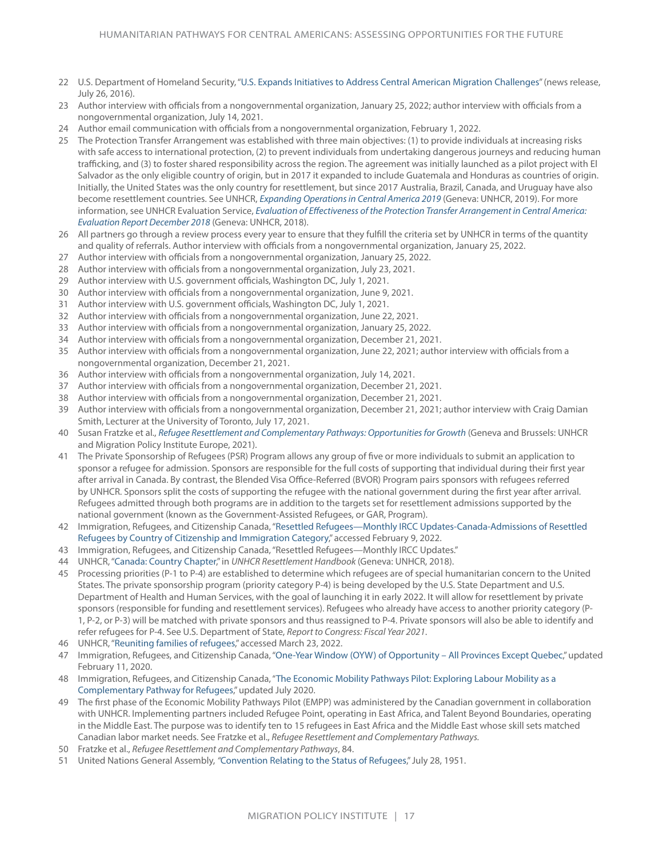- 22 U.S. Department of Homeland Security, "[U.S. Expands Initiatives to Address Central American Migration Challenges](https://www.dhs.gov/news/2016/07/26/us-expands-initiatives-address-central-american-migration-challenges)" (news release, July 26, 2016).
- 23 Author interview with officials from a nongovernmental organization, January 25, 2022; author interview with officials from a nongovernmental organization, July 14, 2021.
- 24 Author email communication with officials from a nongovernmental organization, February 1, 2022.
- 25 The Protection Transfer Arrangement was established with three main objectives: (1) to provide individuals at increasing risks with safe access to international protection, (2) to prevent individuals from undertaking dangerous journeys and reducing human trafficking, and (3) to foster shared responsibility across the region. The agreement was initially launched as a pilot project with El Salvador as the only eligible country of origin, but in 2017 it expanded to include Guatemala and Honduras as countries of origin. Initially, the United States was the only country for resettlement, but since 2017 Australia, Brazil, Canada, and Uruguay have also become resettlement countries. See UNHCR, *[Expanding Operations in Central America 2019](https://reliefweb.int/sites/reliefweb.int/files/resources/2019 Expanding Operations in Central America %28February 2019%29.pdf)* (Geneva: UNHCR, 2019). For more information, see UNHCR Evaluation Service, *[Evaluation of Effectiveness of the Protection Transfer Arrangement in Central America:](https://www.unhcr.org/en-us/research/evalreports/5c7e63064/evaluation-effectiveness-protection-transfer-arrangement-central-america.html)  [Evaluation Report December 2018](https://www.unhcr.org/en-us/research/evalreports/5c7e63064/evaluation-effectiveness-protection-transfer-arrangement-central-america.html)* (Geneva: UNHCR, 2018).
- 26 All partners go through a review process every year to ensure that they fulfill the criteria set by UNHCR in terms of the quantity and quality of referrals. Author interview with officials from a nongovernmental organization, January 25, 2022.
- 27 Author interview with officials from a nongovernmental organization, January 25, 2022.
- 28 Author interview with officials from a nongovernmental organization, July 23, 2021.
- 29 Author interview with U.S. government officials, Washington DC, July 1, 2021.
- 30 Author interview with officials from a nongovernmental organization, June 9, 2021.
- 31 Author interview with U.S. government officials, Washington DC, July 1, 2021.
- 32 Author interview with officials from a nongovernmental organization, June 22, 2021.
- 33 Author interview with officials from a nongovernmental organization, January 25, 2022.
- 34 Author interview with officials from a nongovernmental organization, December 21, 2021.
- 35 Author interview with officials from a nongovernmental organization, June 22, 2021; author interview with officials from a nongovernmental organization, December 21, 2021.
- 36 Author interview with officials from a nongovernmental organization, July 14, 2021.
- 37 Author interview with officials from a nongovernmental organization, December 21, 2021.
- 38 Author interview with officials from a nongovernmental organization, December 21, 2021.
- 39 Author interview with officials from a nongovernmental organization, December 21, 2021; author interview with Craig Damian Smith, Lecturer at the University of Toronto, July 17, 2021.
- 40 Susan Fratzke et al., *[Refugee Resettlement and Complementary Pathways: Opportunities for Growth](https://www.migrationpolicy.org/research/refugee-resettlement-complementary-pathways)* (Geneva and Brussels: UNHCR and Migration Policy Institute Europe, 2021).
- 41 The Private Sponsorship of Refugees (PSR) Program allows any group of five or more individuals to submit an application to sponsor a refugee for admission. Sponsors are responsible for the full costs of supporting that individual during their first year after arrival in Canada. By contrast, the Blended Visa Office-Referred (BVOR) Program pairs sponsors with refugees referred by UNHCR. Sponsors split the costs of supporting the refugee with the national government during the first year after arrival. Refugees admitted through both programs are in addition to the targets set for resettlement admissions supported by the national government (known as the Government-Assisted Refugees, or GAR, Program).
- 42 Immigration, Refugees, and Citizenship Canada, "[Resettled Refugees—Monthly IRCC Updates-Canada-Admissions of Resettled](https://open.canada.ca/data/en/dataset/4a1b260a-7ac4-4985-80a0-603bfe4aec11/resource/c1ba9278-9bbf-4823-b90a-dbab3e9d4187)  [Refugees by Country of Citizenship and Immigration Category,](https://open.canada.ca/data/en/dataset/4a1b260a-7ac4-4985-80a0-603bfe4aec11/resource/c1ba9278-9bbf-4823-b90a-dbab3e9d4187)" accessed February 9, 2022.
- 43 Immigration, Refugees, and Citizenship Canada, "Resettled Refugees—Monthly IRCC Updates."
- 44 UNHCR, "[Canada: Country Chapter,](https://www.unhcr.org/en-us/protection/resettlement/3c5e55594/unhcr-resettlement-handbook-country-chapter-canada.html)" in *UNHCR Resettlement Handbook* (Geneva: UNHCR, 2018).
- 45 Processing priorities (P-1 to P-4) are established to determine which refugees are of special humanitarian concern to the United States. The private sponsorship program (priority category P-4) is being developed by the U.S. State Department and U.S. Department of Health and Human Services, with the goal of launching it in early 2022. It will allow for resettlement by private sponsors (responsible for funding and resettlement services). Refugees who already have access to another priority category (P-1, P-2, or P-3) will be matched with private sponsors and thus reassigned to P-4. Private sponsors will also be able to identify and refer refugees for P-4. See U.S. Department of State, *Report to Congress: Fiscal Year 2021*.
- 46 UNHCR, "[Reuniting families of refugees](https://www.unhcr.ca/in-canada/other-immigration-pathways-refugees/reuniting-families-refugees/)," accessed March 23, 2022.
- 47 Immigration, Refugees, and Citizenship Canada, "[One-Year Window \(OYW\) of Opportunity All Provinces Except Quebec,](https://www.canada.ca/en/immigration-refugees-citizenship/corporate/publications-manuals/operational-bulletins-manuals/refugee-protection/resettlement/dependant/one-year/all.html)" updated February 11, 2020.
- 48 Immigration, Refugees, and Citizenship Canada, "[The Economic Mobility Pathways Pilot: Exploring Labour Mobility as a](https://www.canada.ca/en/immigration-refugees-citizenship/corporate/publications-manuals/economic-mobility-pathways-project-labour-mobility.html)  [Complementary Pathway for Refugees](https://www.canada.ca/en/immigration-refugees-citizenship/corporate/publications-manuals/economic-mobility-pathways-project-labour-mobility.html)," updated July 2020.
- 49 The first phase of the Economic Mobility Pathways Pilot (EMPP) was administered by the Canadian government in collaboration with UNHCR. Implementing partners included Refugee Point, operating in East Africa, and Talent Beyond Boundaries, operating in the Middle East. The purpose was to identify ten to 15 refugees in East Africa and the Middle East whose skill sets matched Canadian labor market needs. See Fratzke et al., *Refugee Resettlement and Complementary Pathways.*
- 50 Fratzke et al., *Refugee Resettlement and Complementary Pathways*, 84.
- 51 United Nations General Assembly, *"*[Convention Relating to the Status of Refugees](https://www.unhcr.org/en-us/3b66c2aa10)," July 28, 1951.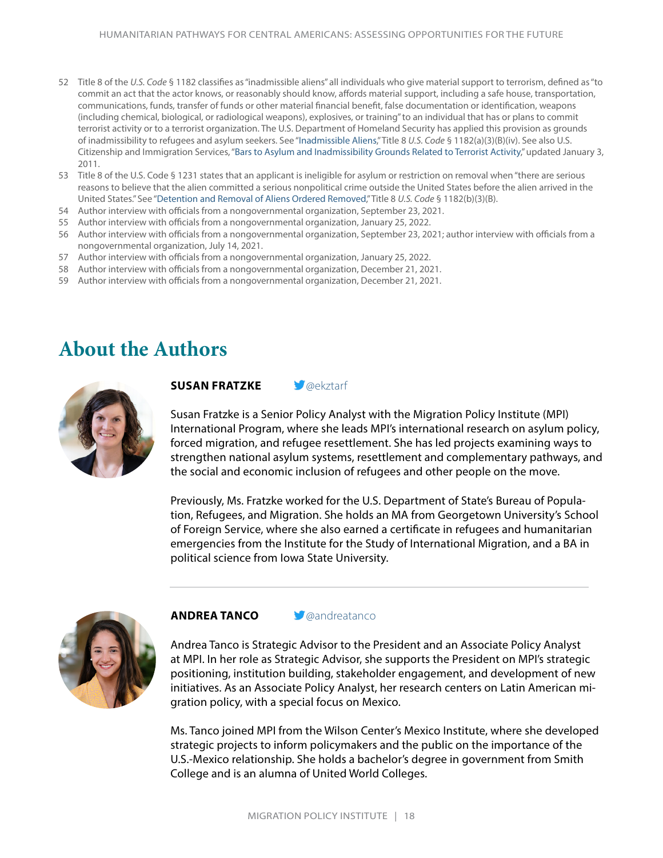- 52 Title 8 of the *U.S. Code* § 1182 classifies as "inadmissible aliens" all individuals who give material support to terrorism, defined as "to commit an act that the actor knows, or reasonably should know, affords material support, including a safe house, transportation, communications, funds, transfer of funds or other material financial benefit, false documentation or identification, weapons (including chemical, biological, or radiological weapons), explosives, or training" to an individual that has or plans to commit terrorist activity or to a terrorist organization. The U.S. Department of Homeland Security has applied this provision as grounds of inadmissibility to refugees and asylum seekers. See ["Inadmissible Aliens,](https://uscode.house.gov/view.xhtml?hl=false&edition=prelim&req=granuleid%3AUSC-1996-title8-section1182&num=0)" Title 8 *U.S. Code* § 1182(a)(3)(B)(iv). See also U.S. Citizenship and Immigration Services, "[Bars to Asylum and Inadmissibility Grounds Related to Terrorist Activity,](https://www.uscis.gov/humanitarian/refugees-and-asylum/asylum/bars-to-asylum-and-inadmissibility-grounds-related-to-terrorist-activity)" updated January 3, 2011.
- 53 Title 8 of the U.S. Code § 1231 states that an applicant is ineligible for asylum or restriction on removal when "there are serious reasons to believe that the alien committed a serious nonpolitical crime outside the United States before the alien arrived in the United States." See "[Detention and Removal of Aliens Ordered Removed](https://uscode.house.gov/view.xhtml?hl=false&edition=prelim&req=granuleid%3AUSC-1996-title8-section1231)," Title 8 *U.S. Code* § 1182(b)(3)(B).
- 54 Author interview with officials from a nongovernmental organization, September 23, 2021.
- 55 Author interview with officials from a nongovernmental organization, January 25, 2022.
- 56 Author interview with officials from a nongovernmental organization, September 23, 2021; author interview with officials from a nongovernmental organization, July 14, 2021.
- 57 Author interview with officials from a nongovernmental organization, January 25, 2022.
- 58 Author interview with officials from a nongovernmental organization, December 21, 2021.
- 59 Author interview with officials from a nongovernmental organization, December 21, 2021.

### **About the Authors**



#### **SUSAN FRATZKE** *C*[@ekztarf](https://twitter.com/ekztarf)

Susan Fratzke is a Senior Policy Analyst with the Migration Policy Institute (MPI) International Program, where she leads MPI's international research on asylum policy, forced migration, and refugee resettlement. She has led projects examining ways to strengthen national asylum systems, resettlement and complementary pathways, and the social and economic inclusion of refugees and other people on the move.

Previously, Ms. Fratzke worked for the U.S. Department of State's Bureau of Population, Refugees, and Migration. She holds an MA from Georgetown University's School of Foreign Service, where she also earned a certificate in refugees and humanitarian emergencies from the Institute for the Study of International Migration, and a BA in political science from Iowa State University.



#### **ANDREA TANCO g**<sup>a</sup> [@andreatanco](https://twitter.com/andreatanco)

Andrea Tanco is Strategic Advisor to the President and an Associate Policy Analyst at MPI. In her role as Strategic Advisor, she supports the President on MPI's strategic positioning, institution building, stakeholder engagement, and development of new initiatives. As an Associate Policy Analyst, her research centers on Latin American migration policy, with a special focus on Mexico.

Ms. Tanco joined MPI from the Wilson Center's Mexico Institute, where she developed strategic projects to inform policymakers and the public on the importance of the U.S.-Mexico relationship. She holds a bachelor's degree in government from Smith College and is an alumna of United World Colleges.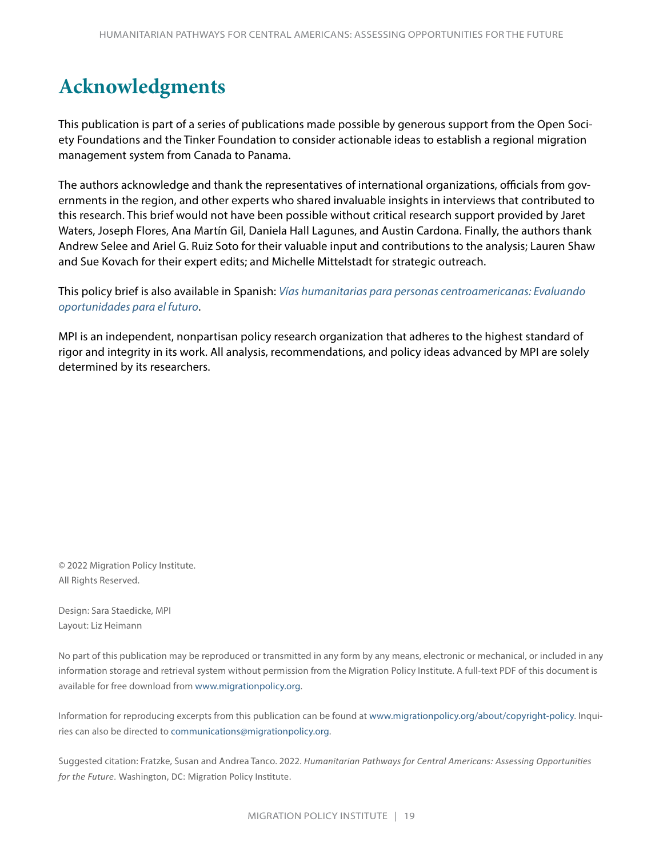# **Acknowledgments**

This publication is part of a series of publications made possible by generous support from the Open Society Foundations and the Tinker Foundation to consider actionable ideas to establish a regional migration management system from Canada to Panama.

The authors acknowledge and thank the representatives of international organizations, officials from governments in the region, and other experts who shared invaluable insights in interviews that contributed to this research. This brief would not have been possible without critical research support provided by Jaret Waters, Joseph Flores, Ana Martín Gil, Daniela Hall Lagunes, and Austin Cardona. Finally, the authors thank Andrew Selee and Ariel G. Ruiz Soto for their valuable input and contributions to the analysis; Lauren Shaw and Sue Kovach for their expert edits; and Michelle Mittelstadt for strategic outreach.

This policy brief is also available in Spanish: *[Vías humanitarias para personas centroamericanas: Evaluando](https://www.migrationpolicy.org/research/vias-humanitarias-personas-centroamericanas)  [oportunidades para el futuro](https://www.migrationpolicy.org/research/vias-humanitarias-personas-centroamericanas)*.

MPI is an independent, nonpartisan policy research organization that adheres to the highest standard of rigor and integrity in its work. All analysis, recommendations, and policy ideas advanced by MPI are solely determined by its researchers.

© 2022 Migration Policy Institute. All Rights Reserved.

Design: Sara Staedicke, MPI Layout: Liz Heimann

No part of this publication may be reproduced or transmitted in any form by any means, electronic or mechanical, or included in any information storage and retrieval system without permission from the Migration Policy Institute. A full-text PDF of this document is available for free download from [www.migrationpolicy.org.](http://www.migrationpolicy.org)

Information for reproducing excerpts from this publication can be found at [www.migrationpolicy.org/about/copyright-policy](http://www.migrationpolicy.org/about/copyright-policy). Inquiries can also be directed to [communications@migrationpolicy.org](mailto:communications@migrationpolicy.org).

Suggested citation: Fratzke, Susan and Andrea Tanco. 2022. *Humanitarian Pathways for Central Americans: Assessing Opportunities for the Future*. Washington, DC: Migration Policy Institute.